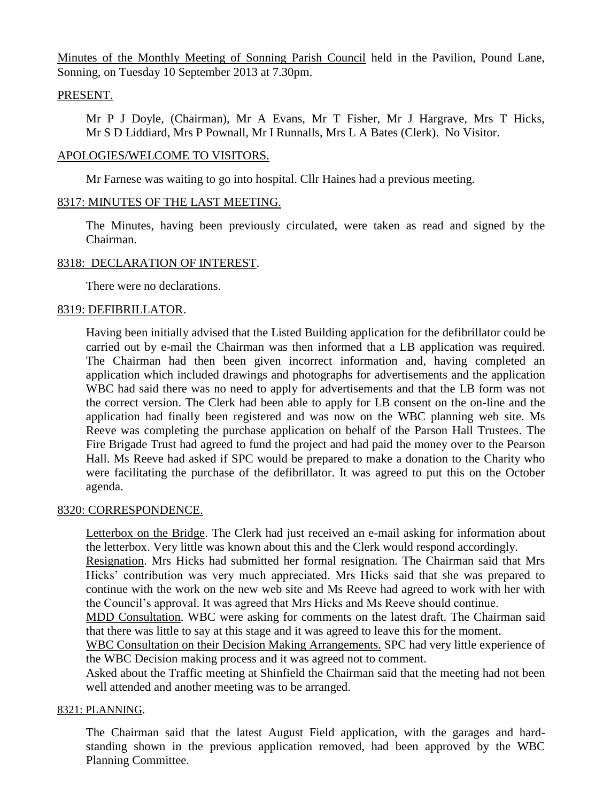Minutes of the Monthly Meeting of Sonning Parish Council held in the Pavilion, Pound Lane, Sonning, on Tuesday 10 September 2013 at 7.30pm.

# PRESENT.

Mr P J Doyle, (Chairman), Mr A Evans, Mr T Fisher, Mr J Hargrave, Mrs T Hicks, Mr S D Liddiard, Mrs P Pownall, Mr I Runnalls, Mrs L A Bates (Clerk). No Visitor.

# APOLOGIES/WELCOME TO VISITORS.

Mr Farnese was waiting to go into hospital. Cllr Haines had a previous meeting.

# 8317: MINUTES OF THE LAST MEETING.

The Minutes, having been previously circulated, were taken as read and signed by the Chairman.

# 8318: DECLARATION OF INTEREST.

There were no declarations.

# 8319: DEFIBRILLATOR.

Having been initially advised that the Listed Building application for the defibrillator could be carried out by e-mail the Chairman was then informed that a LB application was required. The Chairman had then been given incorrect information and, having completed an application which included drawings and photographs for advertisements and the application WBC had said there was no need to apply for advertisements and that the LB form was not the correct version. The Clerk had been able to apply for LB consent on the on-line and the application had finally been registered and was now on the WBC planning web site. Ms Reeve was completing the purchase application on behalf of the Parson Hall Trustees. The Fire Brigade Trust had agreed to fund the project and had paid the money over to the Pearson Hall. Ms Reeve had asked if SPC would be prepared to make a donation to the Charity who were facilitating the purchase of the defibrillator. It was agreed to put this on the October agenda.

### 8320: CORRESPONDENCE.

Letterbox on the Bridge. The Clerk had just received an e-mail asking for information about the letterbox. Very little was known about this and the Clerk would respond accordingly.

Resignation. Mrs Hicks had submitted her formal resignation. The Chairman said that Mrs Hicks' contribution was very much appreciated. Mrs Hicks said that she was prepared to continue with the work on the new web site and Ms Reeve had agreed to work with her with the Council's approval. It was agreed that Mrs Hicks and Ms Reeve should continue.

MDD Consultation. WBC were asking for comments on the latest draft. The Chairman said that there was little to say at this stage and it was agreed to leave this for the moment.

WBC Consultation on their Decision Making Arrangements. SPC had very little experience of the WBC Decision making process and it was agreed not to comment.

Asked about the Traffic meeting at Shinfield the Chairman said that the meeting had not been well attended and another meeting was to be arranged.

### 8321: PLANNING.

The Chairman said that the latest August Field application, with the garages and hardstanding shown in the previous application removed, had been approved by the WBC Planning Committee.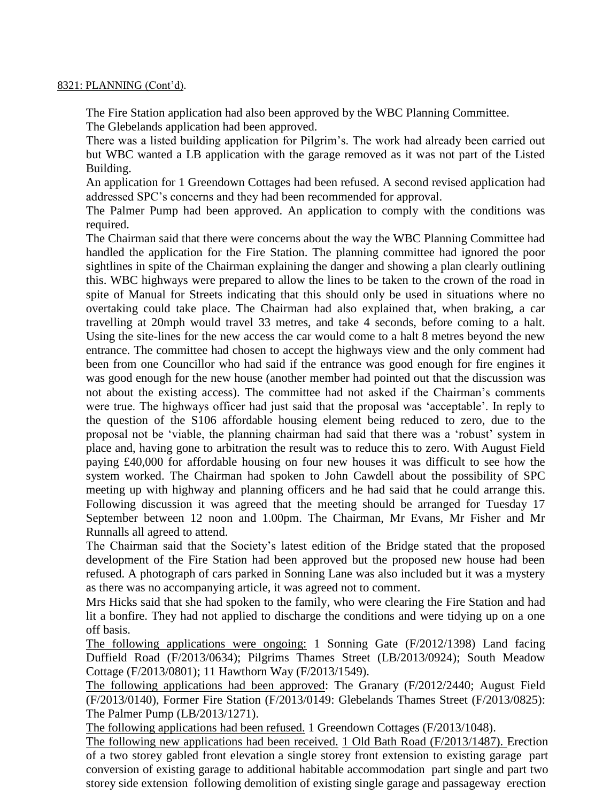### 8321: PLANNING (Cont'd).

The Fire Station application had also been approved by the WBC Planning Committee. The Glebelands application had been approved.

There was a listed building application for Pilgrim's. The work had already been carried out but WBC wanted a LB application with the garage removed as it was not part of the Listed Building.

An application for 1 Greendown Cottages had been refused. A second revised application had addressed SPC's concerns and they had been recommended for approval.

The Palmer Pump had been approved. An application to comply with the conditions was required.

The Chairman said that there were concerns about the way the WBC Planning Committee had handled the application for the Fire Station. The planning committee had ignored the poor sightlines in spite of the Chairman explaining the danger and showing a plan clearly outlining this. WBC highways were prepared to allow the lines to be taken to the crown of the road in spite of Manual for Streets indicating that this should only be used in situations where no overtaking could take place. The Chairman had also explained that, when braking, a car travelling at 20mph would travel 33 metres, and take 4 seconds, before coming to a halt. Using the site-lines for the new access the car would come to a halt 8 metres beyond the new entrance. The committee had chosen to accept the highways view and the only comment had been from one Councillor who had said if the entrance was good enough for fire engines it was good enough for the new house (another member had pointed out that the discussion was not about the existing access). The committee had not asked if the Chairman's comments were true. The highways officer had just said that the proposal was 'acceptable'. In reply to the question of the S106 affordable housing element being reduced to zero, due to the proposal not be 'viable, the planning chairman had said that there was a 'robust' system in place and, having gone to arbitration the result was to reduce this to zero. With August Field paying £40,000 for affordable housing on four new houses it was difficult to see how the system worked. The Chairman had spoken to John Cawdell about the possibility of SPC meeting up with highway and planning officers and he had said that he could arrange this. Following discussion it was agreed that the meeting should be arranged for Tuesday 17 September between 12 noon and 1.00pm. The Chairman, Mr Evans, Mr Fisher and Mr Runnalls all agreed to attend.

The Chairman said that the Society's latest edition of the Bridge stated that the proposed development of the Fire Station had been approved but the proposed new house had been refused. A photograph of cars parked in Sonning Lane was also included but it was a mystery as there was no accompanying article, it was agreed not to comment.

Mrs Hicks said that she had spoken to the family, who were clearing the Fire Station and had lit a bonfire. They had not applied to discharge the conditions and were tidying up on a one off basis.

The following applications were ongoing: 1 Sonning Gate (F/2012/1398) Land facing Duffield Road (F/2013/0634); Pilgrims Thames Street (LB/2013/0924); South Meadow Cottage (F/2013/0801); 11 Hawthorn Way (F/2013/1549).

The following applications had been approved: The Granary (F/2012/2440; August Field (F/2013/0140), Former Fire Station (F/2013/0149: Glebelands Thames Street (F/2013/0825): The Palmer Pump (LB/2013/1271).

The following applications had been refused. 1 Greendown Cottages (F/2013/1048).

The following new applications had been received. 1 Old Bath Road (F/2013/1487). Erection of a two storey gabled front elevation a single storey front extension to existing garage part conversion of existing garage to additional habitable accommodation part single and part two storey side extension following demolition of existing single garage and passageway erection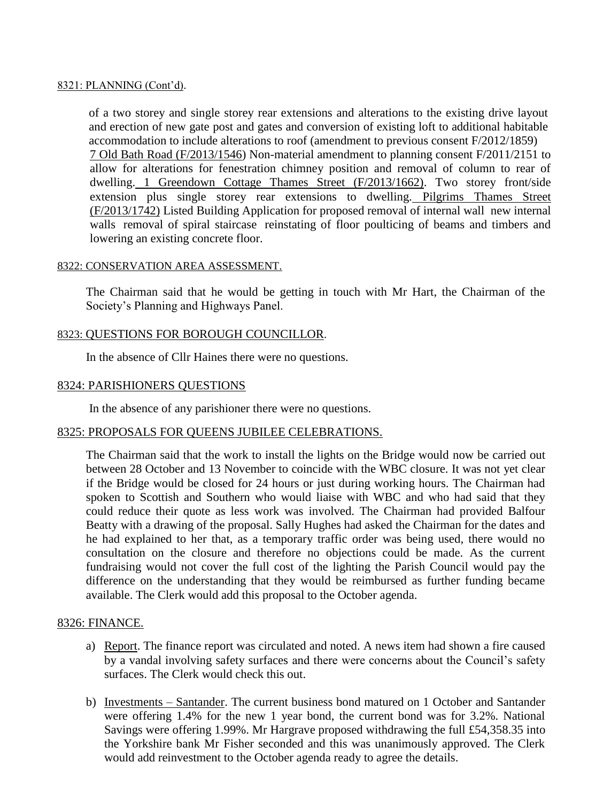### 8321: PLANNING (Cont'd).

of a two storey and single storey rear extensions and alterations to the existing drive layout and erection of new gate post and gates and conversion of existing loft to additional habitable accommodation to include alterations to roof (amendment to previous consent F/2012/1859) 7 Old Bath Road (F/2013/1546) Non-material amendment to planning consent F/2011/2151 to allow for alterations for fenestration chimney position and removal of column to rear of dwelling. 1 Greendown Cottage Thames Street (F/2013/1662). Two storey front/side extension plus single storey rear extensions to dwelling. Pilgrims Thames Street (F/2013/1742) Listed Building Application for proposed removal of internal wall new internal walls removal of spiral staircase reinstating of floor poulticing of beams and timbers and lowering an existing concrete floor.

### 8322: CONSERVATION AREA ASSESSMENT.

The Chairman said that he would be getting in touch with Mr Hart, the Chairman of the Society's Planning and Highways Panel.

# 8323: QUESTIONS FOR BOROUGH COUNCILLOR.

In the absence of Cllr Haines there were no questions.

### 8324: PARISHIONERS QUESTIONS

In the absence of any parishioner there were no questions.

### 8325: PROPOSALS FOR QUEENS JUBILEE CELEBRATIONS.

The Chairman said that the work to install the lights on the Bridge would now be carried out between 28 October and 13 November to coincide with the WBC closure. It was not yet clear if the Bridge would be closed for 24 hours or just during working hours. The Chairman had spoken to Scottish and Southern who would liaise with WBC and who had said that they could reduce their quote as less work was involved. The Chairman had provided Balfour Beatty with a drawing of the proposal. Sally Hughes had asked the Chairman for the dates and he had explained to her that, as a temporary traffic order was being used, there would no consultation on the closure and therefore no objections could be made. As the current fundraising would not cover the full cost of the lighting the Parish Council would pay the difference on the understanding that they would be reimbursed as further funding became available. The Clerk would add this proposal to the October agenda.

### 8326: FINANCE.

- a) Report. The finance report was circulated and noted. A news item had shown a fire caused by a vandal involving safety surfaces and there were concerns about the Council's safety surfaces. The Clerk would check this out.
- b) Investments Santander. The current business bond matured on 1 October and Santander were offering 1.4% for the new 1 year bond, the current bond was for 3.2%. National Savings were offering 1.99%. Mr Hargrave proposed withdrawing the full £54,358.35 into the Yorkshire bank Mr Fisher seconded and this was unanimously approved. The Clerk would add reinvestment to the October agenda ready to agree the details.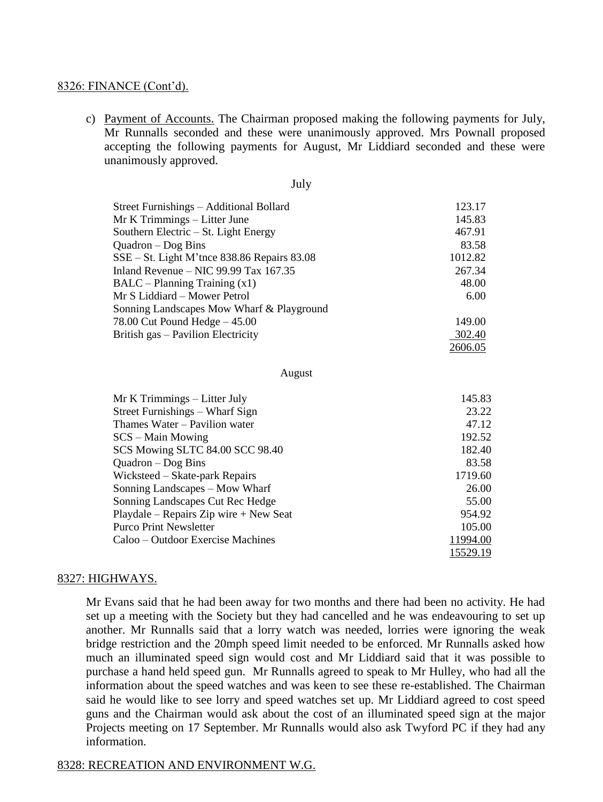#### 8326: FINANCE (Cont'd).

c) Payment of Accounts. The Chairman proposed making the following payments for July, Mr Runnalls seconded and these were unanimously approved. Mrs Pownall proposed accepting the following payments for August, Mr Liddiard seconded and these were unanimously approved.

July

| J UL Y                                        |         |
|-----------------------------------------------|---------|
| Street Furnishings – Additional Bollard       | 123.17  |
| Mr K Trimmings - Litter June                  | 145.83  |
| Southern Electric – St. Light Energy          | 467.91  |
| $Quadron - Dog Bins$                          | 83.58   |
| $SSE - St.$ Light M'tnce 838.86 Repairs 83.08 | 1012.82 |
| Inland Revenue – NIC 99.99 Tax $167.35$       | 267.34  |
| $BALC - Planning Training(x1)$                | 48.00   |
| Mr S Liddiard – Mower Petrol                  | 6.00    |
| Sonning Landscapes Mow Wharf & Playground     |         |
| 78.00 Cut Pound Hedge $-45.00$                | 149.00  |
| British gas – Pavilion Electricity            | 302.40  |
|                                               | 2606.05 |

August

| Mr K Trimmings – Litter July           | 145.83   |
|----------------------------------------|----------|
| Street Furnishings - Wharf Sign        | 23.22    |
| Thames Water – Pavilion water          | 47.12    |
| $SCS - Main Moving$                    | 192.52   |
| SCS Mowing SLTC 84.00 SCC 98.40        | 182.40   |
| $Quadron - Dog Bins$                   | 83.58    |
| Wicksteed – Skate-park Repairs         | 1719.60  |
| Sonning Landscapes – Mow Wharf         | 26.00    |
| Sonning Landscapes Cut Rec Hedge       | 55.00    |
| Playdale – Repairs Zip wire + New Seat | 954.92   |
| <b>Purco Print Newsletter</b>          | 105.00   |
| Caloo – Outdoor Exercise Machines      | 11994.00 |
|                                        | 15529.19 |

#### 8327: HIGHWAYS.

Mr Evans said that he had been away for two months and there had been no activity. He had set up a meeting with the Society but they had cancelled and he was endeavouring to set up another. Mr Runnalls said that a lorry watch was needed, lorries were ignoring the weak bridge restriction and the 20mph speed limit needed to be enforced. Mr Runnalls asked how much an illuminated speed sign would cost and Mr Liddiard said that it was possible to purchase a hand held speed gun. Mr Runnalls agreed to speak to Mr Hulley, who had all the information about the speed watches and was keen to see these re-established. The Chairman said he would like to see lorry and speed watches set up. Mr Liddiard agreed to cost speed guns and the Chairman would ask about the cost of an illuminated speed sign at the major Projects meeting on 17 September. Mr Runnalls would also ask Twyford PC if they had any information.

#### 8328: RECREATION AND ENVIRONMENT W.G.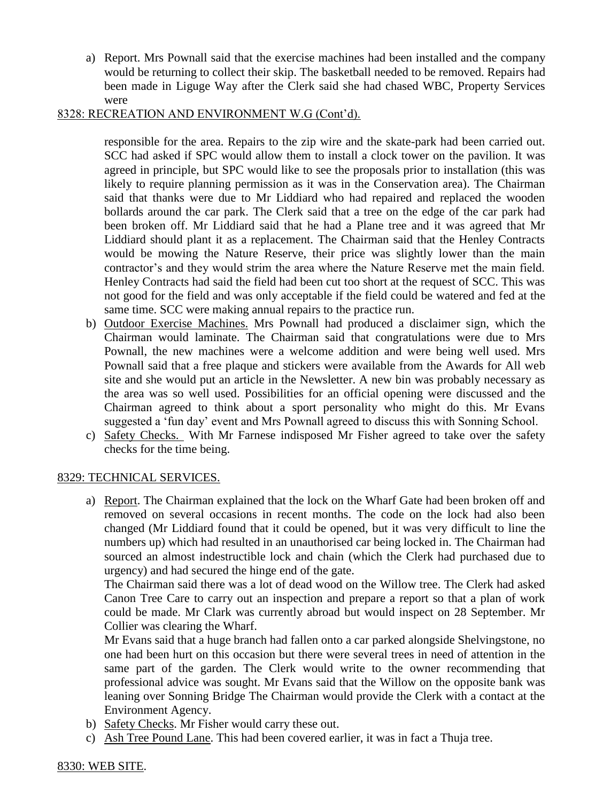a) Report. Mrs Pownall said that the exercise machines had been installed and the company would be returning to collect their skip. The basketball needed to be removed. Repairs had been made in Liguge Way after the Clerk said she had chased WBC, Property Services were

# 8328: RECREATION AND ENVIRONMENT W.G (Cont'd).

responsible for the area. Repairs to the zip wire and the skate-park had been carried out. SCC had asked if SPC would allow them to install a clock tower on the pavilion. It was agreed in principle, but SPC would like to see the proposals prior to installation (this was likely to require planning permission as it was in the Conservation area). The Chairman said that thanks were due to Mr Liddiard who had repaired and replaced the wooden bollards around the car park. The Clerk said that a tree on the edge of the car park had been broken off. Mr Liddiard said that he had a Plane tree and it was agreed that Mr Liddiard should plant it as a replacement. The Chairman said that the Henley Contracts would be mowing the Nature Reserve, their price was slightly lower than the main contractor's and they would strim the area where the Nature Reserve met the main field. Henley Contracts had said the field had been cut too short at the request of SCC. This was not good for the field and was only acceptable if the field could be watered and fed at the same time. SCC were making annual repairs to the practice run.

- b) Outdoor Exercise Machines. Mrs Pownall had produced a disclaimer sign, which the Chairman would laminate. The Chairman said that congratulations were due to Mrs Pownall, the new machines were a welcome addition and were being well used. Mrs Pownall said that a free plaque and stickers were available from the Awards for All web site and she would put an article in the Newsletter. A new bin was probably necessary as the area was so well used. Possibilities for an official opening were discussed and the Chairman agreed to think about a sport personality who might do this. Mr Evans suggested a 'fun day' event and Mrs Pownall agreed to discuss this with Sonning School.
- c) Safety Checks. With Mr Farnese indisposed Mr Fisher agreed to take over the safety checks for the time being.

# 8329: TECHNICAL SERVICES.

a) Report. The Chairman explained that the lock on the Wharf Gate had been broken off and removed on several occasions in recent months. The code on the lock had also been changed (Mr Liddiard found that it could be opened, but it was very difficult to line the numbers up) which had resulted in an unauthorised car being locked in. The Chairman had sourced an almost indestructible lock and chain (which the Clerk had purchased due to urgency) and had secured the hinge end of the gate.

The Chairman said there was a lot of dead wood on the Willow tree. The Clerk had asked Canon Tree Care to carry out an inspection and prepare a report so that a plan of work could be made. Mr Clark was currently abroad but would inspect on 28 September. Mr Collier was clearing the Wharf.

Mr Evans said that a huge branch had fallen onto a car parked alongside Shelvingstone, no one had been hurt on this occasion but there were several trees in need of attention in the same part of the garden. The Clerk would write to the owner recommending that professional advice was sought. Mr Evans said that the Willow on the opposite bank was leaning over Sonning Bridge The Chairman would provide the Clerk with a contact at the Environment Agency.

- b) Safety Checks. Mr Fisher would carry these out.
- c) Ash Tree Pound Lane. This had been covered earlier, it was in fact a Thuja tree.